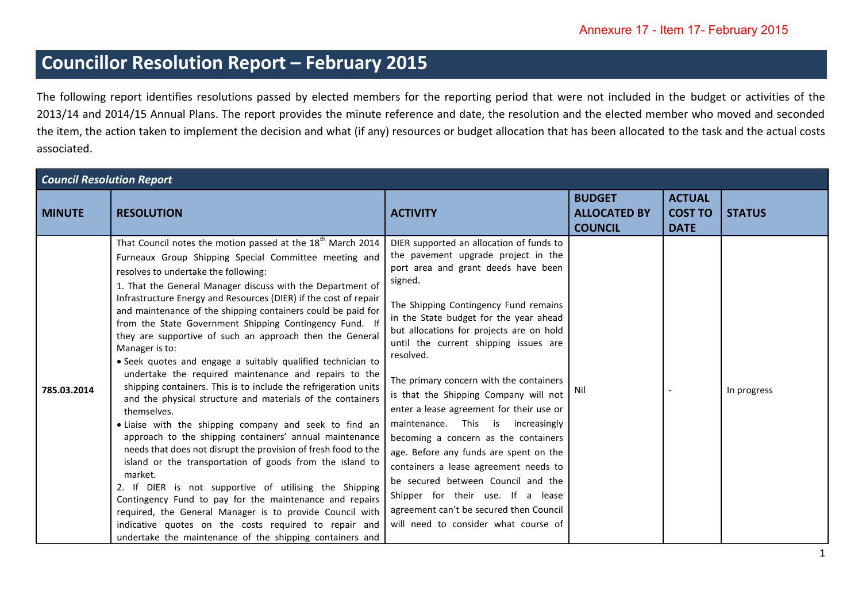## **Councillor Resolution Report – February 2015**

The following report identifies resolutions passed by elected members for the reporting period that were not included in the budget or activities of the 2013/14 and 2014/15 Annual Plans. The report provides the minute reference and date, the resolution and the elected member who moved and seconded the item, the action taken to implement the decision and what (if any) resources or budget allocation that has been allocated to the task and the actual costs associated.

| <b>Council Resolution Report</b> |                                                                                                                                                                                                                                                                                                                                                                                                                                                                                                                                                                                                                                                                                                                                                                                                                                                                                                                                                                                                                                                                                                                                                                                                                                                                                                                                                                 |                                                                                                                                                                                                                                                                                                                                                                                                                                                                                                                                                                                                                                                                                                                                                                                      |                                                        |                                                |               |
|----------------------------------|-----------------------------------------------------------------------------------------------------------------------------------------------------------------------------------------------------------------------------------------------------------------------------------------------------------------------------------------------------------------------------------------------------------------------------------------------------------------------------------------------------------------------------------------------------------------------------------------------------------------------------------------------------------------------------------------------------------------------------------------------------------------------------------------------------------------------------------------------------------------------------------------------------------------------------------------------------------------------------------------------------------------------------------------------------------------------------------------------------------------------------------------------------------------------------------------------------------------------------------------------------------------------------------------------------------------------------------------------------------------|--------------------------------------------------------------------------------------------------------------------------------------------------------------------------------------------------------------------------------------------------------------------------------------------------------------------------------------------------------------------------------------------------------------------------------------------------------------------------------------------------------------------------------------------------------------------------------------------------------------------------------------------------------------------------------------------------------------------------------------------------------------------------------------|--------------------------------------------------------|------------------------------------------------|---------------|
| <b>MINUTE</b>                    | <b>RESOLUTION</b>                                                                                                                                                                                                                                                                                                                                                                                                                                                                                                                                                                                                                                                                                                                                                                                                                                                                                                                                                                                                                                                                                                                                                                                                                                                                                                                                               | <b>ACTIVITY</b>                                                                                                                                                                                                                                                                                                                                                                                                                                                                                                                                                                                                                                                                                                                                                                      | <b>BUDGET</b><br><b>ALLOCATED BY</b><br><b>COUNCIL</b> | <b>ACTUAL</b><br><b>COST TO</b><br><b>DATE</b> | <b>STATUS</b> |
| 785.03.2014                      | That Council notes the motion passed at the 18 <sup>th</sup> March 2014<br>Furneaux Group Shipping Special Committee meeting and<br>resolves to undertake the following:<br>1. That the General Manager discuss with the Department of<br>Infrastructure Energy and Resources (DIER) if the cost of repair<br>and maintenance of the shipping containers could be paid for<br>from the State Government Shipping Contingency Fund. If<br>they are supportive of such an approach then the General<br>Manager is to:<br>• Seek quotes and engage a suitably qualified technician to<br>undertake the required maintenance and repairs to the<br>shipping containers. This is to include the refrigeration units<br>and the physical structure and materials of the containers<br>themselves.<br>. Liaise with the shipping company and seek to find an<br>approach to the shipping containers' annual maintenance<br>needs that does not disrupt the provision of fresh food to the<br>island or the transportation of goods from the island to<br>market.<br>2. If DIER is not supportive of utilising the Shipping<br>Contingency Fund to pay for the maintenance and repairs<br>required, the General Manager is to provide Council with<br>indicative quotes on the costs required to repair and<br>undertake the maintenance of the shipping containers and | DIER supported an allocation of funds to<br>the pavement upgrade project in the<br>port area and grant deeds have been<br>signed.<br>The Shipping Contingency Fund remains<br>in the State budget for the year ahead<br>but allocations for projects are on hold<br>until the current shipping issues are<br>resolved.<br>The primary concern with the containers<br>is that the Shipping Company will not<br>enter a lease agreement for their use or<br>maintenance. This is increasingly<br>becoming a concern as the containers<br>age. Before any funds are spent on the<br>containers a lease agreement needs to<br>be secured between Council and the<br>Shipper for their use. If a lease<br>agreement can't be secured then Council<br>will need to consider what course of | Nil                                                    |                                                | In progress   |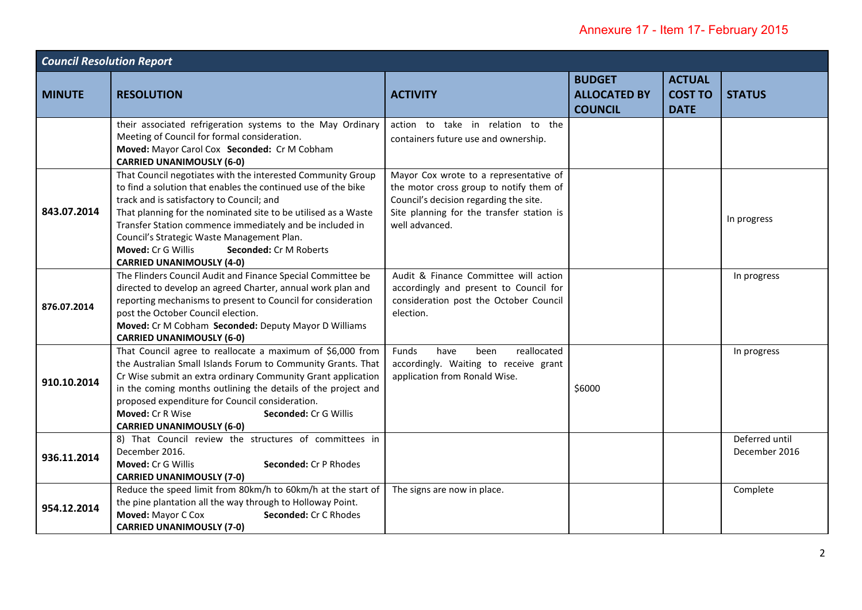| <b>Council Resolution Report</b> |                                                                                                                                                                                                                                                                                                                                                                                                                                           |                                                                                                                                                                                            |                                                        |                                                |                                 |
|----------------------------------|-------------------------------------------------------------------------------------------------------------------------------------------------------------------------------------------------------------------------------------------------------------------------------------------------------------------------------------------------------------------------------------------------------------------------------------------|--------------------------------------------------------------------------------------------------------------------------------------------------------------------------------------------|--------------------------------------------------------|------------------------------------------------|---------------------------------|
| <b>MINUTE</b>                    | <b>RESOLUTION</b>                                                                                                                                                                                                                                                                                                                                                                                                                         | <b>ACTIVITY</b>                                                                                                                                                                            | <b>BUDGET</b><br><b>ALLOCATED BY</b><br><b>COUNCIL</b> | <b>ACTUAL</b><br><b>COST TO</b><br><b>DATE</b> | <b>STATUS</b>                   |
|                                  | their associated refrigeration systems to the May Ordinary<br>Meeting of Council for formal consideration.<br>Moved: Mayor Carol Cox Seconded: Cr M Cobham<br><b>CARRIED UNANIMOUSLY (6-0)</b>                                                                                                                                                                                                                                            | action to take in relation to the<br>containers future use and ownership.                                                                                                                  |                                                        |                                                |                                 |
| 843.07.2014                      | That Council negotiates with the interested Community Group<br>to find a solution that enables the continued use of the bike<br>track and is satisfactory to Council; and<br>That planning for the nominated site to be utilised as a Waste<br>Transfer Station commence immediately and be included in<br>Council's Strategic Waste Management Plan.<br>Moved: Cr G Willis<br>Seconded: Cr M Roberts<br><b>CARRIED UNANIMOUSLY (4-0)</b> | Mayor Cox wrote to a representative of<br>the motor cross group to notify them of<br>Council's decision regarding the site.<br>Site planning for the transfer station is<br>well advanced. |                                                        |                                                | In progress                     |
| 876.07.2014                      | The Flinders Council Audit and Finance Special Committee be<br>directed to develop an agreed Charter, annual work plan and<br>reporting mechanisms to present to Council for consideration<br>post the October Council election.<br>Moved: Cr M Cobham Seconded: Deputy Mayor D Williams<br><b>CARRIED UNANIMOUSLY (6-0)</b>                                                                                                              | Audit & Finance Committee will action<br>accordingly and present to Council for<br>consideration post the October Council<br>election.                                                     |                                                        |                                                | In progress                     |
| 910.10.2014                      | That Council agree to reallocate a maximum of \$6,000 from<br>the Australian Small Islands Forum to Community Grants. That<br>Cr Wise submit an extra ordinary Community Grant application<br>in the coming months outlining the details of the project and<br>proposed expenditure for Council consideration.<br>Moved: Cr R Wise<br>Seconded: Cr G Willis<br><b>CARRIED UNANIMOUSLY (6-0)</b>                                           | reallocated<br>Funds<br>have<br>been<br>accordingly. Waiting to receive grant<br>application from Ronald Wise.                                                                             | \$6000                                                 |                                                | In progress                     |
| 936.11.2014                      | 8) That Council review the structures of committees in<br>December 2016.<br>Moved: Cr G Willis<br>Seconded: Cr P Rhodes<br><b>CARRIED UNANIMOUSLY (7-0)</b>                                                                                                                                                                                                                                                                               |                                                                                                                                                                                            |                                                        |                                                | Deferred until<br>December 2016 |
| 954.12.2014                      | Reduce the speed limit from 80km/h to 60km/h at the start of<br>the pine plantation all the way through to Holloway Point.<br>Moved: Mayor C Cox<br>Seconded: Cr C Rhodes<br><b>CARRIED UNANIMOUSLY (7-0)</b>                                                                                                                                                                                                                             | The signs are now in place.                                                                                                                                                                |                                                        |                                                | Complete                        |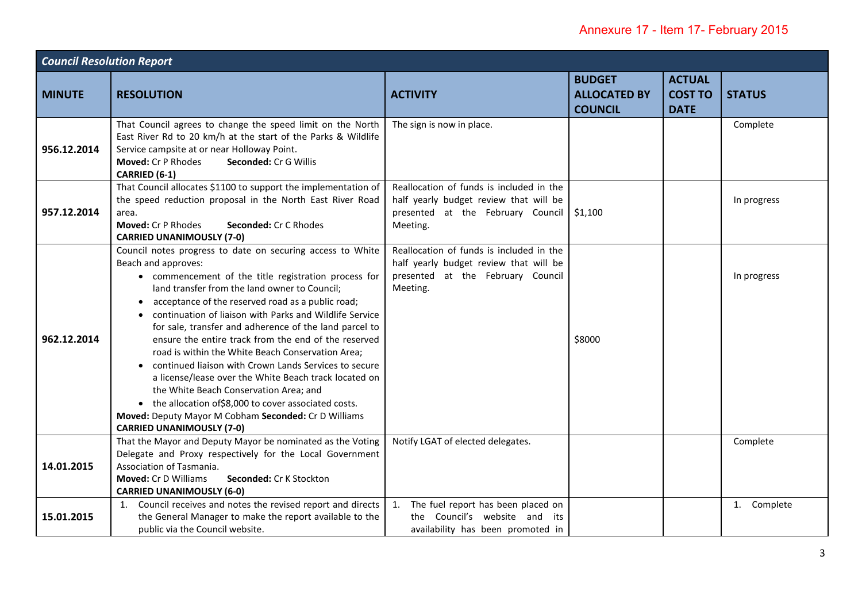| <b>Council Resolution Report</b> |                                                                                                                                                                                                                                                                                                                                                                                                                                                                                                                                                                                                                                                                                                                                                                                                     |                                                                                                                                     |                                                        |                                                |               |
|----------------------------------|-----------------------------------------------------------------------------------------------------------------------------------------------------------------------------------------------------------------------------------------------------------------------------------------------------------------------------------------------------------------------------------------------------------------------------------------------------------------------------------------------------------------------------------------------------------------------------------------------------------------------------------------------------------------------------------------------------------------------------------------------------------------------------------------------------|-------------------------------------------------------------------------------------------------------------------------------------|--------------------------------------------------------|------------------------------------------------|---------------|
| <b>MINUTE</b>                    | <b>RESOLUTION</b>                                                                                                                                                                                                                                                                                                                                                                                                                                                                                                                                                                                                                                                                                                                                                                                   | <b>ACTIVITY</b>                                                                                                                     | <b>BUDGET</b><br><b>ALLOCATED BY</b><br><b>COUNCIL</b> | <b>ACTUAL</b><br><b>COST TO</b><br><b>DATE</b> | <b>STATUS</b> |
| 956.12.2014                      | That Council agrees to change the speed limit on the North<br>East River Rd to 20 km/h at the start of the Parks & Wildlife<br>Service campsite at or near Holloway Point.<br><b>Moved: Cr P Rhodes</b><br>Seconded: Cr G Willis<br>CARRIED (6-1)                                                                                                                                                                                                                                                                                                                                                                                                                                                                                                                                                   | The sign is now in place.                                                                                                           |                                                        |                                                | Complete      |
| 957.12.2014                      | That Council allocates \$1100 to support the implementation of<br>the speed reduction proposal in the North East River Road<br>area.<br>Moved: Cr P Rhodes<br>Seconded: Cr C Rhodes<br><b>CARRIED UNANIMOUSLY (7-0)</b>                                                                                                                                                                                                                                                                                                                                                                                                                                                                                                                                                                             | Reallocation of funds is included in the<br>half yearly budget review that will be<br>presented at the February Council<br>Meeting. | \$1,100                                                |                                                | In progress   |
| 962.12.2014                      | Council notes progress to date on securing access to White<br>Beach and approves:<br>• commencement of the title registration process for<br>land transfer from the land owner to Council;<br>acceptance of the reserved road as a public road;<br>continuation of liaison with Parks and Wildlife Service<br>for sale, transfer and adherence of the land parcel to<br>ensure the entire track from the end of the reserved<br>road is within the White Beach Conservation Area;<br>continued liaison with Crown Lands Services to secure<br>a license/lease over the White Beach track located on<br>the White Beach Conservation Area; and<br>• the allocation of \$8,000 to cover associated costs.<br>Moved: Deputy Mayor M Cobham Seconded: Cr D Williams<br><b>CARRIED UNANIMOUSLY (7-0)</b> | Reallocation of funds is included in the<br>half yearly budget review that will be<br>presented at the February Council<br>Meeting. | \$8000                                                 |                                                | In progress   |
| 14.01.2015                       | That the Mayor and Deputy Mayor be nominated as the Voting<br>Delegate and Proxy respectively for the Local Government<br>Association of Tasmania.<br><b>Moved: Cr D Williams</b><br>Seconded: Cr K Stockton<br><b>CARRIED UNANIMOUSLY (6-0)</b>                                                                                                                                                                                                                                                                                                                                                                                                                                                                                                                                                    | Notify LGAT of elected delegates.                                                                                                   |                                                        |                                                | Complete      |
| 15.01.2015                       | 1. Council receives and notes the revised report and directs<br>the General Manager to make the report available to the<br>public via the Council website.                                                                                                                                                                                                                                                                                                                                                                                                                                                                                                                                                                                                                                          | 1. The fuel report has been placed on<br>the Council's website and its<br>availability has been promoted in                         |                                                        |                                                | 1. Complete   |